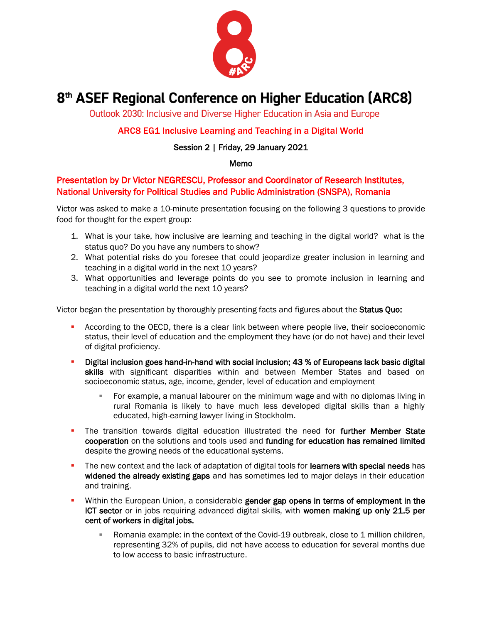

# 8<sup>th</sup> ASEF Regional Conference on Higher Education (ARC8)

Outlook 2030: Inclusive and Diverse Higher Education in Asia and Europe

## ARC8 EG1 Inclusive Learning and Teaching in a Digital World

### Session 2 | Friday, 29 January 2021

#### Memo

## Presentation by Dr Victor NEGRESCU, Professor and Coordinator of Research Institutes, National University for Political Studies and Public Administration (SNSPA), Romania

Victor was asked to make a 10-minute presentation focusing on the following 3 questions to provide food for thought for the expert group:

- 1. What is your take, how inclusive are learning and teaching in the digital world? what is the status quo? Do you have any numbers to show?
- 2. What potential risks do you foresee that could jeopardize greater inclusion in learning and teaching in a digital world in the next 10 years?
- 3. What opportunities and leverage points do you see to promote inclusion in learning and teaching in a digital world the next 10 years?

Victor began the presentation by thoroughly presenting facts and figures about the Status Quo:

- **EXECT** According to the OECD, there is a clear link between where people live, their socioeconomic status, their level of education and the employment they have (or do not have) and their level of digital proficiency.
- Digital inclusion goes hand-in-hand with social inclusion; 43 % of Europeans lack basic digital skills with significant disparities within and between Member States and based on socioeconomic status, age, income, gender, level of education and employment
	- For example, a manual labourer on the minimum wage and with no diplomas living in rural Romania is likely to have much less developed digital skills than a highly educated, high-earning lawyer living in Stockholm.
- **.** The transition towards digital education illustrated the need for further Member State cooperation on the solutions and tools used and funding for education has remained limited despite the growing needs of the educational systems.
- **.** The new context and the lack of adaptation of digital tools for **learners with special needs** has widened the already existing gaps and has sometimes led to major delays in their education and training.
- **EXECT** Within the European Union, a considerable gender gap opens in terms of employment in the ICT sector or in jobs requiring advanced digital skills, with women making up only 21.5 per cent of workers in digital jobs.
	- **EXEDENT** Romania example: in the context of the Covid-19 outbreak, close to 1 million children, representing 32% of pupils, did not have access to education for several months due to low access to basic infrastructure.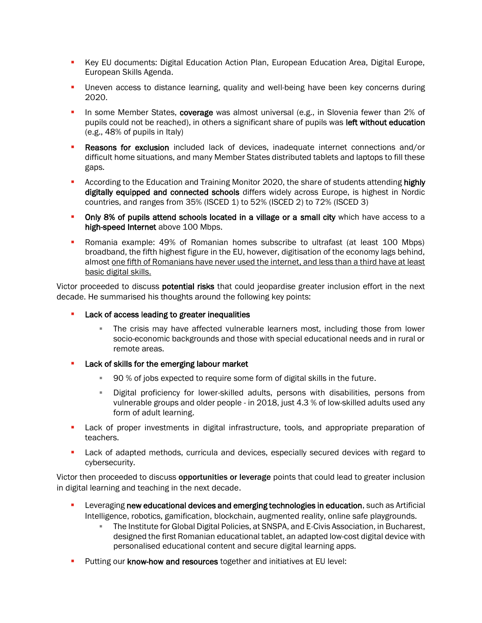- **Key EU documents: Digital Education Action Plan, European Education Area, Digital Europe,** European Skills Agenda.
- **•** Uneven access to distance learning, quality and well-being have been key concerns during 2020.
- **.** In some Member States, coverage was almost universal (e.g., in Slovenia fewer than 2% of pupils could not be reached), in others a significant share of pupils was left without education (e.g., 48% of pupils in Italy)
- **Reasons for exclusion** included lack of devices, inadequate internet connections and/or difficult home situations, and many Member States distributed tablets and laptops to fill these gaps.
- **EXECORDITY According to the Education and Training Monitor 2020, the share of students attending highly** digitally equipped and connected schools differs widely across Europe, is highest in Nordic countries, and ranges from 35% (ISCED 1) to 52% (ISCED 2) to 72% (ISCED 3)
- Only 8% of pupils attend schools located in a village or a small city which have access to a high-speed Internet above 100 Mbps.
- Romania example: 49% of Romanian homes subscribe to ultrafast (at least 100 Mbps) broadband, the fifth highest figure in the EU, however, digitisation of the economy lags behind, almost one fifth of Romanians have never used the internet, and less than a third have at least basic digital skills.

Victor proceeded to discuss **potential risks** that could jeopardise greater inclusion effort in the next decade. He summarised his thoughts around the following key points:

- Lack of access leading to greater inequalities
	- **The crisis may have affected vulnerable learners most, including those from lower** socio-economic backgrounds and those with special educational needs and in rural or remote areas.
- **EXEC** Lack of skills for the emerging labour market
	- 90 % of jobs expected to require some form of digital skills in the future.
	- Digital proficiency for lower-skilled adults, persons with disabilities, persons from vulnerable groups and older people - in 2018, just 4.3 % of low-skilled adults used any form of adult learning.
- **•** Lack of proper investments in digital infrastructure, tools, and appropriate preparation of teachers.
- Lack of adapted methods, curricula and devices, especially secured devices with regard to cybersecurity.

Victor then proceeded to discuss opportunities or leverage points that could lead to greater inclusion in digital learning and teaching in the next decade.

- Leveraging new educational devices and emerging technologies in education, such as Artificial Intelligence, robotics, gamification, blockchain, augmented reality, online safe playgrounds.
	- **The Institute for Global Digital Policies, at SNSPA, and E-Civis Association, in Bucharest, 6** designed the first Romanian educational tablet, an adapted low-cost digital device with personalised educational content and secure digital learning apps.
- **•** Putting our know-how and resources together and initiatives at EU level: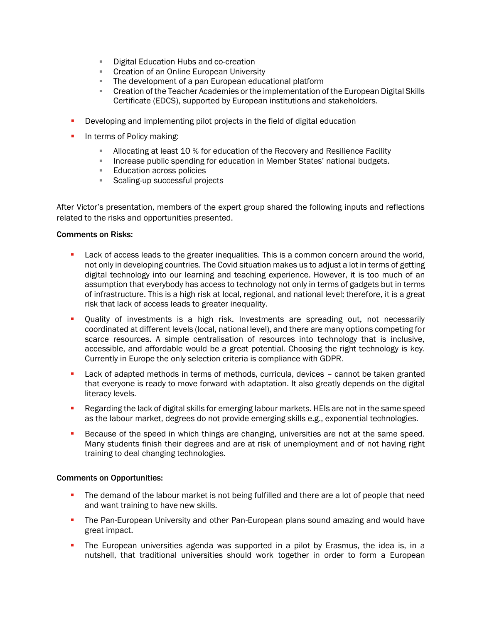- **E** Digital Education Hubs and co-creation
- **EXECT** Creation of an Online European University
- **EXTE:** The development of a pan European educational platform
- Creation of the Teacher Academies or the implementation of the European Digital Skills Certificate (EDCS), supported by European institutions and stakeholders.
- **•** Developing and implementing pilot projects in the field of digital education
- **•** In terms of Policy making:
	- **EXED Allocating at least 10 % for education of the Recovery and Resilience Facility**
	- Increase public spending for education in Member States' national budgets.
	- Education across policies
	- Scaling-up successful projects

After Victor's presentation, members of the expert group shared the following inputs and reflections related to the risks and opportunities presented.

#### Comments on Risks:

- **EXECT Lack of access leads to the greater inequalities. This is a common concern around the world,** not only in developing countries. The Covid situation makes us to adjust a lot in terms of getting digital technology into our learning and teaching experience. However, it is too much of an assumption that everybody has access to technology not only in terms of gadgets but in terms of infrastructure. This is a high risk at local, regional, and national level; therefore, it is a great risk that lack of access leads to greater inequality.
- **•** Quality of investments is a high risk. Investments are spreading out, not necessarily coordinated at different levels (local, national level), and there are many options competing for scarce resources. A simple centralisation of resources into technology that is inclusive, accessible, and affordable would be a great potential. Choosing the right technology is key. Currently in Europe the only selection criteria is compliance with GDPR.
- Lack of adapted methods in terms of methods, curricula, devices cannot be taken granted that everyone is ready to move forward with adaptation. It also greatly depends on the digital literacy levels.
- **EXE** Regarding the lack of digital skills for emerging labour markets. HEIs are not in the same speed as the labour market, degrees do not provide emerging skills e.g., exponential technologies.
- **EXECUTE:** Because of the speed in which things are changing, universities are not at the same speed. Many students finish their degrees and are at risk of unemployment and of not having right training to deal changing technologies.

#### Comments on Opportunities:

- **•** The demand of the labour market is not being fulfilled and there are a lot of people that need and want training to have new skills.
- **The Pan-European University and other Pan-European plans sound amazing and would have** great impact.
- **•** The European universities agenda was supported in a pilot by Erasmus, the idea is, in a nutshell, that traditional universities should work together in order to form a European